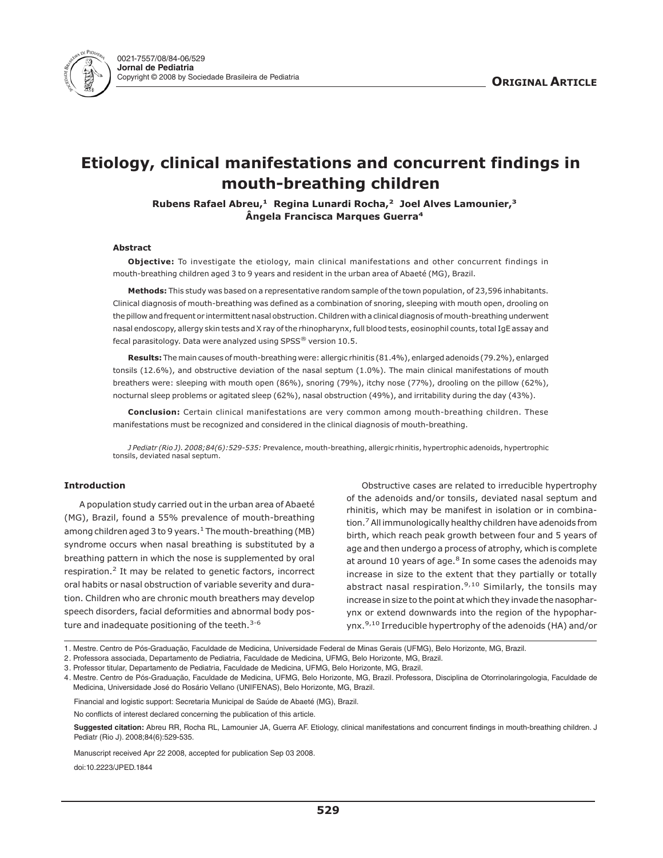

# **Etiology, clinical manifestations and concurrent findings in mouth-breathing children**

**Rubens Rafael Abreu,<sup>1</sup> Regina Lunardi Rocha,<sup>2</sup> Joel Alves Lamounier,<sup>3</sup> Ângela Francisca Marques Guerra<sup>4</sup>**

# **Abstract**

**Objective:** To investigate the etiology, main clinical manifestations and other concurrent findings in mouth-breathing children aged 3 to 9 years and resident in the urban area of Abaeté (MG), Brazil.

**Methods:** This study was based on a representative random sample of the town population, of 23,596 inhabitants. Clinical diagnosis of mouth-breathing was defined as a combination of snoring, sleeping with mouth open, drooling on the pillow and frequent or intermittent nasal obstruction. Children with a clinical diagnosis ofmouth-breathing underwent nasal endoscopy, allergy skin tests and X ray of the rhinopharynx, full blood tests, eosinophil counts, total IgE assay and fecal parasitology. Data were analyzed using SPSS® version 10.5.

**Results:** Themain causes ofmouth-breathing were: allergic rhinitis (81.4%), enlarged adenoids (79.2%), enlarged tonsils (12.6%), and obstructive deviation of the nasal septum (1.0%). The main clinical manifestations of mouth breathers were: sleeping with mouth open (86%), snoring (79%), itchy nose (77%), drooling on the pillow (62%), nocturnal sleep problems or agitated sleep (62%), nasal obstruction (49%), and irritability during the day (43%).

**Conclusion:** Certain clinical manifestations are very common among mouth-breathing children. These manifestations must be recognized and considered in the clinical diagnosis of mouth-breathing.

*J Pediatr (Rio J). 2008;84(6):529-535:* Prevalence, mouth-breathing, allergic rhinitis, hypertrophic adenoids, hypertrophic tonsils, deviated nasal septum.

## **Introduction**

A population study carried out in the urban area of Abaeté (MG), Brazil, found a 55% prevalence of mouth-breathing among children aged 3 to 9 years. $1$  The mouth-breathing (MB) syndrome occurs when nasal breathing is substituted by a breathing pattern in which the nose is supplemented by oral respiration.<sup>2</sup> It may be related to genetic factors, incorrect oral habits or nasal obstruction of variable severity and duration. Children who are chronic mouth breathers may develop speech disorders, facial deformities and abnormal body posture and inadequate positioning of the teeth.<sup>3-6</sup>

Obstructive cases are related to irreducible hypertrophy of the adenoids and/or tonsils, deviated nasal septum and rhinitis, which may be manifest in isolation or in combination.7All immunologically healthy children have adenoids from birth, which reach peak growth between four and 5 years of age and then undergo a process of atrophy, which is complete at around 10 years of age. $8$  In some cases the adenoids may increase in size to the extent that they partially or totally abstract nasal respiration.<sup>9,10</sup> Similarly, the tonsils may increase in size to the point at which they invade the nasopharynx or extend downwards into the region of the hypopharynx.9,10 Irreducible hypertrophy of the adenoids (HA) and/or

Financial and logistic support: Secretaria Municipal de Saúde de Abaeté (MG), Brazil.

No conflicts of interest declared concerning the publication of this article.

**Suggested citation:** Abreu RR, Rocha RL, Lamounier JA, Guerra AF. Etiology, clinical manifestations and concurrent findings in mouth-breathing children. J Pediatr (Rio J). 2008;84(6):529-535.

Manuscript received Apr 22 2008, accepted for publication Sep 03 2008. doi:10.2223/JPED.1844

<sup>1.</sup> Mestre. Centro de Pós-Graduação, Faculdade de Medicina, Universidade Federal de Minas Gerais (UFMG), Belo Horizonte, MG, Brazil.

<sup>2.</sup> Professora associada, Departamento de Pediatria, Faculdade de Medicina, UFMG, Belo Horizonte, MG, Brazil.

<sup>3.</sup> Professor titular, Departamento de Pediatria, Faculdade de Medicina, UFMG, Belo Horizonte, MG, Brazil.

<sup>4.</sup> Mestre. Centro de Pós-Graduação, Faculdade de Medicina, UFMG, Belo Horizonte, MG, Brazil. Professora, Disciplina de Otorrinolaringologia, Faculdade de Medicina, Universidade José do Rosário Vellano (UNIFENAS), Belo Horizonte, MG, Brazil.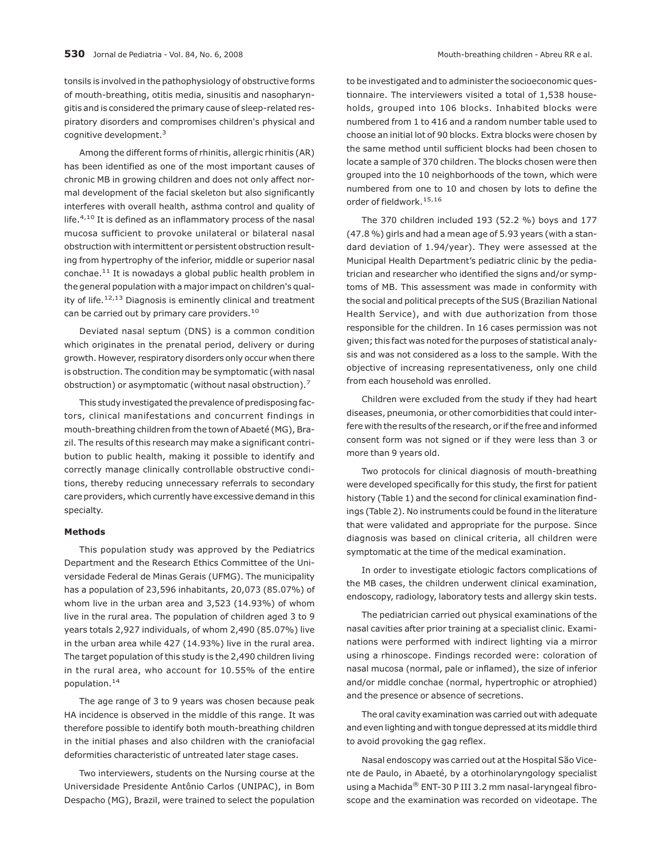tonsils is involved in the pathophysiology of obstructive forms of mouth-breathing, otitis media, sinusitis and nasopharyngitis and is considered the primary cause of sleep-related respiratory disorders and compromises children's physical and cognitive development.3

Among the different forms of rhinitis, allergic rhinitis (AR) has been identified as one of the most important causes of chronic MB in growing children and does not only affect normal development of the facial skeleton but also significantly interferes with overall health, asthma control and quality of life. $4,10$  It is defined as an inflammatory process of the nasal mucosa sufficient to provoke unilateral or bilateral nasal obstruction with intermittent or persistent obstruction resulting from hypertrophy of the inferior, middle or superior nasal conchae.11 It is nowadays a global public health problem in the general population with a major impact on children's quality of life.<sup>12,13</sup> Diagnosis is eminently clinical and treatment can be carried out by primary care providers.<sup>10</sup>

Deviated nasal septum (DNS) is a common condition which originates in the prenatal period, delivery or during growth. However, respiratory disorders only occur when there is obstruction. The condition may be symptomatic (with nasal obstruction) or asymptomatic (without nasal obstruction).7

This study investigated the prevalence of predisposing factors, clinical manifestations and concurrent findings in mouth-breathing children from the town of Abaeté (MG), Brazil. The results of this research may make a significant contribution to public health, making it possible to identify and correctly manage clinically controllable obstructive conditions, thereby reducing unnecessary referrals to secondary care providers, which currently have excessive demand in this specialty.

## **Methods**

This population study was approved by the Pediatrics Department and the Research Ethics Committee of the Universidade Federal de Minas Gerais (UFMG). The municipality has a population of 23,596 inhabitants, 20,073 (85.07%) of whom live in the urban area and 3,523 (14.93%) of whom live in the rural area. The population of children aged 3 to 9 years totals 2,927 individuals, of whom 2,490 (85.07%) live in the urban area while 427 (14.93%) live in the rural area. The target population of this study is the 2,490 children living in the rural area, who account for 10.55% of the entire population.14

The age range of 3 to 9 years was chosen because peak HA incidence is observed in the middle of this range. It was therefore possible to identify both mouth-breathing children in the initial phases and also children with the craniofacial deformities characteristic of untreated later stage cases.

Two interviewers, students on the Nursing course at the Universidade Presidente Antônio Carlos (UNIPAC), in Bom Despacho (MG), Brazil, were trained to select the population to be investigated and to administer the socioeconomic questionnaire. The interviewers visited a total of 1,538 households, grouped into 106 blocks. Inhabited blocks were numbered from 1 to 416 and a random number table used to choose an initial lot of 90 blocks. Extra blocks were chosen by the same method until sufficient blocks had been chosen to locate a sample of 370 children. The blocks chosen were then grouped into the 10 neighborhoods of the town, which were numbered from one to 10 and chosen by lots to define the order of fieldwork.15,16

The 370 children included 193 (52.2 %) boys and 177 (47.8 %) girls and had a mean age of 5.93 years (with a standard deviation of 1.94/year). They were assessed at the Municipal Health Department's pediatric clinic by the pediatrician and researcher who identified the signs and/or symptoms of MB. This assessment was made in conformity with the social and political precepts of the SUS (Brazilian National Health Service), and with due authorization from those responsible for the children. In 16 cases permission was not given; this fact was noted for the purposes of statistical analysis and was not considered as a loss to the sample. With the objective of increasing representativeness, only one child from each household was enrolled.

Children were excluded from the study if they had heart diseases, pneumonia, or other comorbidities that could interfere with the results of the research, or if the free and informed consent form was not signed or if they were less than 3 or more than 9 years old.

Two protocols for clinical diagnosis of mouth-breathing were developed specifically for this study, the first for patient history (Table 1) and the second for clinical examination findings (Table 2). No instruments could be found in the literature that were validated and appropriate for the purpose. Since diagnosis was based on clinical criteria, all children were symptomatic at the time of the medical examination.

In order to investigate etiologic factors complications of the MB cases, the children underwent clinical examination, endoscopy, radiology, laboratory tests and allergy skin tests.

The pediatrician carried out physical examinations of the nasal cavities after prior training at a specialist clinic. Examinations were performed with indirect lighting via a mirror using a rhinoscope. Findings recorded were: coloration of nasal mucosa (normal, pale or inflamed), the size of inferior and/or middle conchae (normal, hypertrophic or atrophied) and the presence or absence of secretions.

The oral cavity examination was carried out with adequate and even lighting and with tongue depressed at its middle third to avoid provoking the gag reflex.

Nasal endoscopy was carried out at the Hospital São Vicente de Paulo, in Abaeté, by a otorhinolaryngology specialist using a Machida® ENT-30 P III 3.2 mm nasal-laryngeal fibroscope and the examination was recorded on videotape. The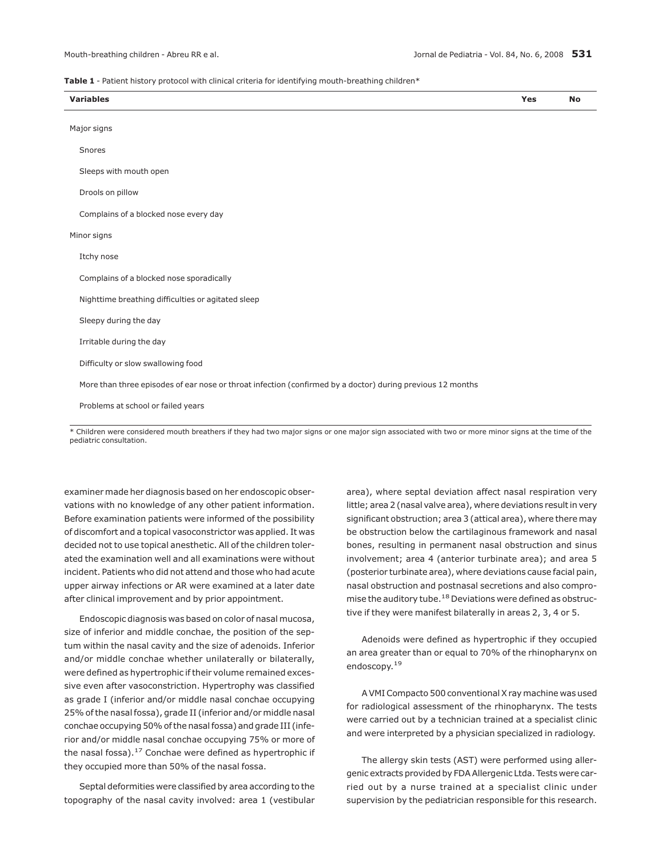#### **Table 1** - Patient history protocol with clinical criteria for identifying mouth-breathing children\*

| <b>Variables</b>                                                                                           | Yes | <b>No</b> |
|------------------------------------------------------------------------------------------------------------|-----|-----------|
|                                                                                                            |     |           |
| Major signs                                                                                                |     |           |
| Snores                                                                                                     |     |           |
|                                                                                                            |     |           |
| Sleeps with mouth open                                                                                     |     |           |
|                                                                                                            |     |           |
| Drools on pillow                                                                                           |     |           |
| Complains of a blocked nose every day                                                                      |     |           |
|                                                                                                            |     |           |
| Minor signs                                                                                                |     |           |
| Itchy nose                                                                                                 |     |           |
|                                                                                                            |     |           |
| Complains of a blocked nose sporadically                                                                   |     |           |
| Nighttime breathing difficulties or agitated sleep                                                         |     |           |
|                                                                                                            |     |           |
| Sleepy during the day                                                                                      |     |           |
| Irritable during the day                                                                                   |     |           |
|                                                                                                            |     |           |
| Difficulty or slow swallowing food                                                                         |     |           |
| More than three episodes of ear nose or throat infection (confirmed by a doctor) during previous 12 months |     |           |
|                                                                                                            |     |           |
| Problems at school or failed years                                                                         |     |           |
|                                                                                                            |     |           |

\* Children were considered mouth breathers if they had two major signs or one major sign associated with two or more minor signs at the time of the pediatric consultation.

examiner made her diagnosis based on her endoscopic observations with no knowledge of any other patient information. Before examination patients were informed of the possibility of discomfort and a topical vasoconstrictor was applied. It was decided not to use topical anesthetic. All of the children tolerated the examination well and all examinations were without incident. Patients who did not attend and those who had acute upper airway infections or AR were examined at a later date after clinical improvement and by prior appointment.

Endoscopic diagnosis was based on color of nasal mucosa, size of inferior and middle conchae, the position of the septum within the nasal cavity and the size of adenoids. Inferior and/or middle conchae whether unilaterally or bilaterally, were defined as hypertrophic if their volume remained excessive even after vasoconstriction. Hypertrophy was classified as grade I (inferior and/or middle nasal conchae occupying 25% of the nasal fossa), grade II (inferior and/or middle nasal conchae occupying 50% of the nasal fossa) and grade III (inferior and/or middle nasal conchae occupying 75% or more of the nasal fossa). $^{17}$  Conchae were defined as hypertrophic if they occupied more than 50% of the nasal fossa.

Septal deformities were classified by area according to the topography of the nasal cavity involved: area 1 (vestibular area), where septal deviation affect nasal respiration very little; area 2 (nasal valve area), where deviations result in very significant obstruction; area 3 (attical area), where there may be obstruction below the cartilaginous framework and nasal bones, resulting in permanent nasal obstruction and sinus involvement; area 4 (anterior turbinate area); and area 5 (posterior turbinate area), where deviations cause facial pain, nasal obstruction and postnasal secretions and also compromise the auditory tube.<sup>18</sup> Deviations were defined as obstructive if they were manifest bilaterally in areas 2, 3, 4 or 5.

Adenoids were defined as hypertrophic if they occupied an area greater than or equal to 70% of the rhinopharynx on endoscopy.19

A VMI Compacto 500 conventional X ray machine was used for radiological assessment of the rhinopharynx. The tests were carried out by a technician trained at a specialist clinic and were interpreted by a physician specialized in radiology.

The allergy skin tests (AST) were performed using allergenic extracts provided by FDA Allergenic Ltda. Tests were carried out by a nurse trained at a specialist clinic under supervision by the pediatrician responsible for this research.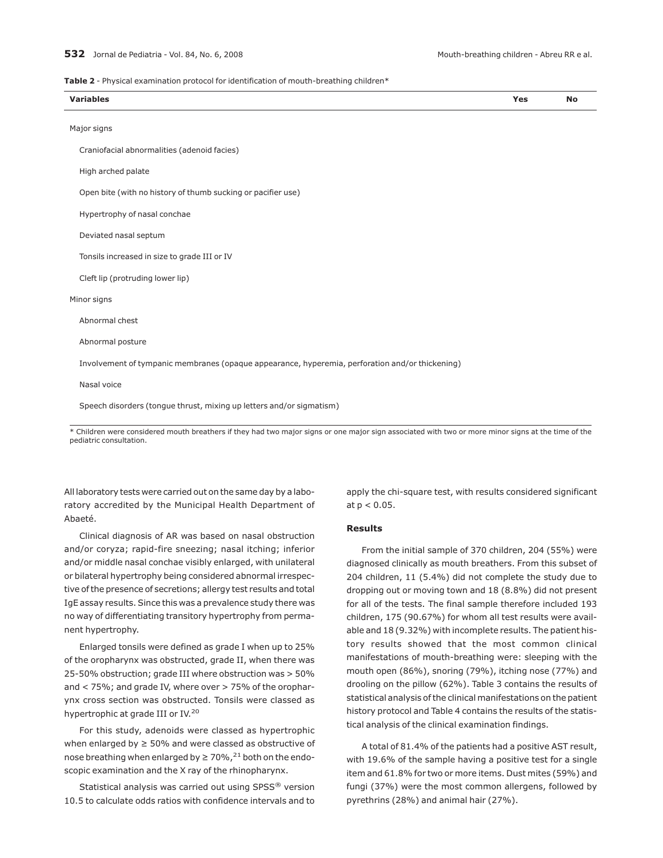**Table 2** - Physical examination protocol for identification of mouth-breathing children\*

| $V$ ari<br>Variables | va.<br>15 | No |
|----------------------|-----------|----|
|                      |           |    |

|  | Major signs |  |  |
|--|-------------|--|--|
|  |             |  |  |
|  |             |  |  |

Craniofacial abnormalities (adenoid facies)

High arched palate

Open bite (with no history of thumb sucking or pacifier use)

Hypertrophy of nasal conchae

Deviated nasal septum

Tonsils increased in size to grade III or IV

Cleft lip (protruding lower lip)

#### Minor signs

Abnormal chest

Abnormal posture

Involvement of tympanic membranes (opaque appearance, hyperemia, perforation and/or thickening)

#### Nasal voice

Speech disorders (tongue thrust, mixing up letters and/or sigmatism)

\* Children were considered mouth breathers if they had two major signs or one major sign associated with two or more minor signs at the time of the pediatric consultation.

All laboratory tests were carried out on the same day by a laboratory accredited by the Municipal Health Department of Abaeté.

Clinical diagnosis of AR was based on nasal obstruction and/or coryza; rapid-fire sneezing; nasal itching; inferior and/or middle nasal conchae visibly enlarged, with unilateral or bilateral hypertrophy being considered abnormal irrespective of the presence of secretions; allergy test results and total IgE assay results. Since this was a prevalence study there was no way of differentiating transitory hypertrophy from permanent hypertrophy.

Enlarged tonsils were defined as grade I when up to 25% of the oropharynx was obstructed, grade II, when there was 25-50% obstruction; grade III where obstruction was > 50% and < 75%; and grade IV, where over > 75% of the oropharynx cross section was obstructed. Tonsils were classed as hypertrophic at grade III or IV.<sup>20</sup>

For this study, adenoids were classed as hypertrophic when enlarged by ≥ 50% and were classed as obstructive of nose breathing when enlarged by  $\geq 70\%$ , <sup>21</sup> both on the endoscopic examination and the X ray of the rhinopharynx.

Statistical analysis was carried out using SPSS<sup>®</sup> version 10.5 to calculate odds ratios with confidence intervals and to

apply the chi-square test, with results considered significant at  $p < 0.05$ .

## **Results**

From the initial sample of 370 children, 204 (55%) were diagnosed clinically as mouth breathers. From this subset of 204 children, 11 (5.4%) did not complete the study due to dropping out or moving town and 18 (8.8%) did not present for all of the tests. The final sample therefore included 193 children, 175 (90.67%) for whom all test results were available and 18 (9.32%) with incomplete results. The patient history results showed that the most common clinical manifestations of mouth-breathing were: sleeping with the mouth open (86%), snoring (79%), itching nose (77%) and drooling on the pillow (62%). Table 3 contains the results of statistical analysis of the clinical manifestations on the patient history protocol and Table 4 contains the results of the statistical analysis of the clinical examination findings.

A total of 81.4% of the patients had a positive AST result, with 19.6% of the sample having a positive test for a single item and 61.8% for two or more items. Dust mites (59%) and fungi (37%) were the most common allergens, followed by pyrethrins (28%) and animal hair (27%).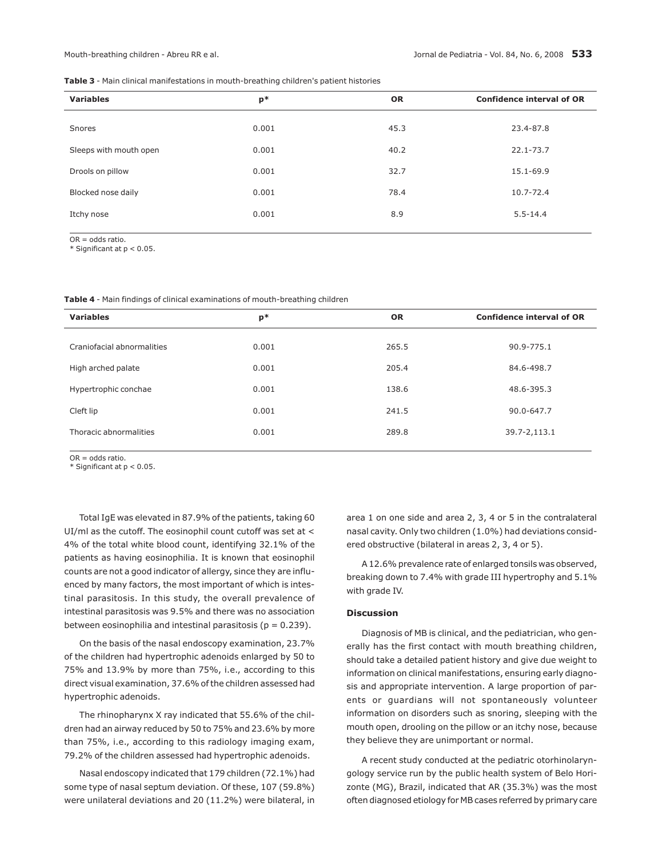**Table 3** - Main clinical manifestations in mouth-breathing children's patient histories

| <b>Variables</b>       | $p*$  | <b>OR</b> | <b>Confidence interval of OR</b> |
|------------------------|-------|-----------|----------------------------------|
| Snores                 | 0.001 | 45.3      | 23.4-87.8                        |
| Sleeps with mouth open | 0.001 | 40.2      | $22.1 - 73.7$                    |
| Drools on pillow       | 0.001 | 32.7      | 15.1-69.9                        |
| Blocked nose daily     | 0.001 | 78.4      | 10.7-72.4                        |
| Itchy nose             | 0.001 | 8.9       | $5.5 - 14.4$                     |
|                        |       |           |                                  |

OR = odds ratio. \* Significant at p < 0.05.

**Table 4** - Main findings of clinical examinations of mouth-breathing children

| <b>Variables</b>           | $p*$  | <b>OR</b> | <b>Confidence interval of OR</b> |
|----------------------------|-------|-----------|----------------------------------|
|                            |       |           |                                  |
| Craniofacial abnormalities | 0.001 | 265.5     | 90.9-775.1                       |
|                            |       |           |                                  |
| High arched palate         | 0.001 | 205.4     | 84.6-498.7                       |
|                            | 0.001 | 138.6     | 48.6-395.3                       |
| Hypertrophic conchae       |       |           |                                  |
| Cleft lip                  | 0.001 | 241.5     | 90.0-647.7                       |
|                            |       |           |                                  |
| Thoracic abnormalities     | 0.001 | 289.8     | 39.7-2,113.1                     |
|                            |       |           |                                  |

OR = odds ratio.

\* Significant at p < 0.05.

Total IgE was elevated in 87.9% of the patients, taking 60 UI/ml as the cutoff. The eosinophil count cutoff was set at < 4% of the total white blood count, identifying 32.1% of the patients as having eosinophilia. It is known that eosinophil counts are not a good indicator of allergy, since they are influenced by many factors, the most important of which is intestinal parasitosis. In this study, the overall prevalence of intestinal parasitosis was 9.5% and there was no association between eosinophilia and intestinal parasitosis ( $p = 0.239$ ).

On the basis of the nasal endoscopy examination, 23.7% of the children had hypertrophic adenoids enlarged by 50 to 75% and 13.9% by more than 75%, i.e., according to this direct visual examination, 37.6% of the children assessed had hypertrophic adenoids.

The rhinopharynx X ray indicated that 55.6% of the children had an airway reduced by 50 to 75% and 23.6% by more than 75%, i.e., according to this radiology imaging exam, 79.2% of the children assessed had hypertrophic adenoids.

Nasal endoscopy indicated that 179 children (72.1%) had some type of nasal septum deviation. Of these, 107 (59.8%) were unilateral deviations and 20 (11.2%) were bilateral, in area 1 on one side and area 2, 3, 4 or 5 in the contralateral nasal cavity. Only two children (1.0%) had deviations considered obstructive (bilateral in areas 2, 3, 4 or 5).

A 12.6% prevalence rate of enlarged tonsils was observed, breaking down to 7.4% with grade III hypertrophy and 5.1% with grade IV.

## **Discussion**

Diagnosis of MB is clinical, and the pediatrician, who generally has the first contact with mouth breathing children, should take a detailed patient history and give due weight to information on clinical manifestations, ensuring early diagnosis and appropriate intervention. A large proportion of parents or guardians will not spontaneously volunteer information on disorders such as snoring, sleeping with the mouth open, drooling on the pillow or an itchy nose, because they believe they are unimportant or normal.

A recent study conducted at the pediatric otorhinolaryngology service run by the public health system of Belo Horizonte (MG), Brazil, indicated that AR (35.3%) was the most often diagnosed etiology for MB cases referred by primary care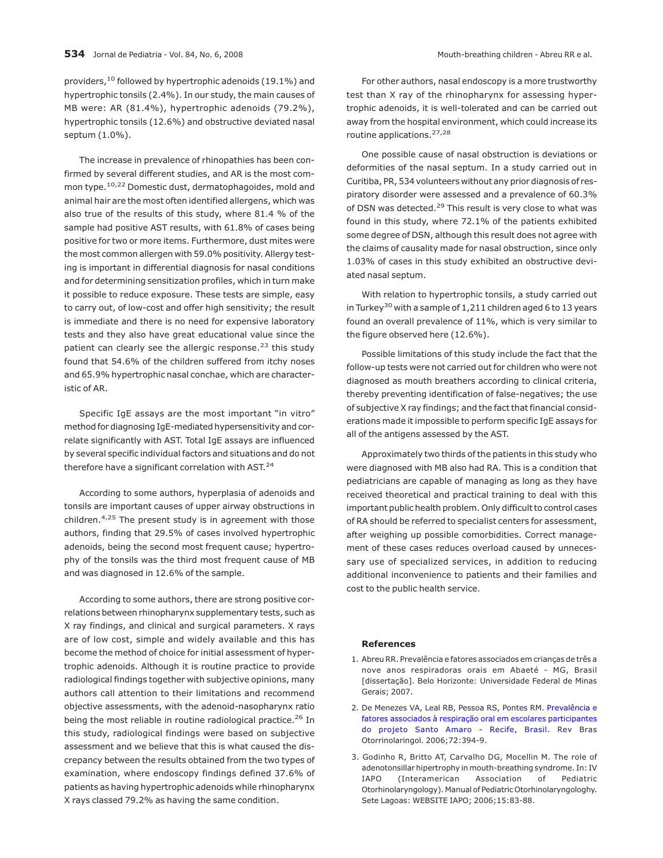providers,<sup>10</sup> followed by hypertrophic adenoids (19.1%) and hypertrophic tonsils (2.4%). In our study, the main causes of MB were: AR (81.4%), hypertrophic adenoids (79.2%), hypertrophic tonsils (12.6%) and obstructive deviated nasal septum (1.0%).

The increase in prevalence of rhinopathies has been confirmed by several different studies, and AR is the most common type.10,22 Domestic dust, dermatophagoides, mold and animal hair are the most often identified allergens, which was also true of the results of this study, where 81.4 % of the sample had positive AST results, with 61.8% of cases being positive for two or more items. Furthermore, dust mites were the most common allergen with 59.0% positivity. Allergy testing is important in differential diagnosis for nasal conditions and for determining sensitization profiles, which in turn make it possible to reduce exposure. These tests are simple, easy to carry out, of low-cost and offer high sensitivity; the result is immediate and there is no need for expensive laboratory tests and they also have great educational value since the patient can clearly see the allergic response.<sup>23</sup> this study found that 54.6% of the children suffered from itchy noses and 65.9% hypertrophic nasal conchae, which are characteristic of AR.

Specific IgE assays are the most important "in vitro" method for diagnosing IgE-mediated hypersensitivity and correlate significantly with AST. Total IgE assays are influenced by several specific individual factors and situations and do not therefore have a significant correlation with AST.<sup>24</sup>

According to some authors, hyperplasia of adenoids and tonsils are important causes of upper airway obstructions in children.4,25 The present study is in agreement with those authors, finding that 29.5% of cases involved hypertrophic adenoids, being the second most frequent cause; hypertrophy of the tonsils was the third most frequent cause of MB and was diagnosed in 12.6% of the sample.

According to some authors, there are strong positive correlations between rhinopharynx supplementary tests, such as X ray findings, and clinical and surgical parameters. X rays are of low cost, simple and widely available and this has become the method of choice for initial assessment of hypertrophic adenoids. Although it is routine practice to provide radiological findings together with subjective opinions, many authors call attention to their limitations and recommend objective assessments, with the adenoid-nasopharynx ratio being the most reliable in routine radiological practice.<sup>26</sup> In this study, radiological findings were based on subjective assessment and we believe that this is what caused the discrepancy between the results obtained from the two types of examination, where endoscopy findings defined 37.6% of patients as having hypertrophic adenoids while rhinopharynx X rays classed 79.2% as having the same condition.

For other authors, nasal endoscopy is a more trustworthy test than X ray of the rhinopharynx for assessing hypertrophic adenoids, it is well-tolerated and can be carried out away from the hospital environment, which could increase its routine applications.27,28

One possible cause of nasal obstruction is deviations or deformities of the nasal septum. In a study carried out in Curitiba, PR, 534 volunteers without any prior diagnosis of respiratory disorder were assessed and a prevalence of 60.3% of DSN was detected.<sup>29</sup> This result is very close to what was found in this study, where 72.1% of the patients exhibited some degree of DSN, although this result does not agree with the claims of causality made for nasal obstruction, since only 1.03% of cases in this study exhibited an obstructive deviated nasal septum.

With relation to hypertrophic tonsils, a study carried out in Turkey<sup>30</sup> with a sample of  $1,211$  children aged 6 to 13 years found an overall prevalence of 11%, which is very similar to the figure observed here (12.6%).

Possible limitations of this study include the fact that the follow-up tests were not carried out for children who were not diagnosed as mouth breathers according to clinical criteria, thereby preventing identification of false-negatives; the use of subjective X ray findings; and the fact that financial considerations made it impossible to perform specific IgE assays for all of the antigens assessed by the AST.

Approximately two thirds of the patients in this study who were diagnosed with MB also had RA. This is a condition that pediatricians are capable of managing as long as they have received theoretical and practical training to deal with this important public health problem. Only difficult to control cases of RA should be referred to specialist centers for assessment, after weighing up possible comorbidities. Correct management of these cases reduces overload caused by unnecessary use of specialized services, in addition to reducing additional inconvenience to patients and their families and cost to the public health service.

## **References**

- 1. Abreu RR. Prevalência e fatores associados em crianças de três a nove anos respiradoras orais em Abaeté - MG, Brasil [dissertação]. Belo Horizonte: Universidade Federal de Minas Gerais; 2007.
- 2. De Menezes VA, Leal RB, Pessoa RS, Pontes RM. [Prevalência e](http://www.ncbi.nlm.nih.gov/entrez/query.fcgi?cmd=Retrieve&db=pubmed&dopt=abstract&list_uids=17119778) [fatores associados à respiração oral em escolares participantes](http://www.ncbi.nlm.nih.gov/entrez/query.fcgi?cmd=Retrieve&db=pubmed&dopt=abstract&list_uids=17119778) [do projeto Santo Amaro - Recife, Brasil.](http://www.ncbi.nlm.nih.gov/entrez/query.fcgi?cmd=Retrieve&db=pubmed&dopt=abstract&list_uids=17119778) Rev Bras Otorrinolaringol. 2006;72:394-9.
- 3. Godinho R, Britto AT, Carvalho DG, Mocellin M. The role of adenotonsillar hipertrophy in mouth-breathing syndrome. In: IV IAPO (Interamerican Association of Pediatric Otorhinolaryngology). Manual of Pediatric Otorhinolaryngologhy. Sete Lagoas: WEBSITE IAPO; 2006;15:83-88.